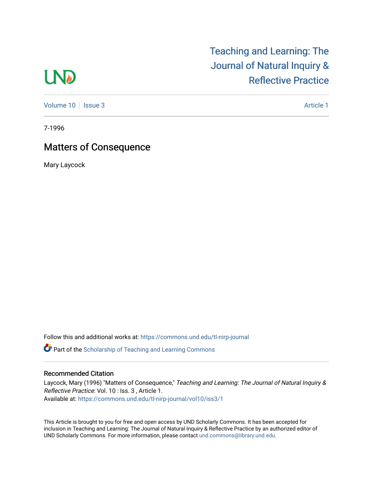# **LND**

[Teaching and Learning: The](https://commons.und.edu/tl-nirp-journal)  [Journal of Natural Inquiry &](https://commons.und.edu/tl-nirp-journal)  [Reflective Practice](https://commons.und.edu/tl-nirp-journal) 

[Volume 10](https://commons.und.edu/tl-nirp-journal/vol10) | [Issue 3](https://commons.und.edu/tl-nirp-journal/vol10/iss3) Article 1

7-1996

### Matters of Consequence

Mary Laycock

Follow this and additional works at: [https://commons.und.edu/tl-nirp-journal](https://commons.und.edu/tl-nirp-journal?utm_source=commons.und.edu%2Ftl-nirp-journal%2Fvol10%2Fiss3%2F1&utm_medium=PDF&utm_campaign=PDFCoverPages) 

**C** Part of the Scholarship of Teaching and Learning Commons

### Recommended Citation

Laycock, Mary (1996) "Matters of Consequence," Teaching and Learning: The Journal of Natural Inquiry & Reflective Practice: Vol. 10 : Iss. 3 , Article 1. Available at: [https://commons.und.edu/tl-nirp-journal/vol10/iss3/1](https://commons.und.edu/tl-nirp-journal/vol10/iss3/1?utm_source=commons.und.edu%2Ftl-nirp-journal%2Fvol10%2Fiss3%2F1&utm_medium=PDF&utm_campaign=PDFCoverPages) 

This Article is brought to you for free and open access by UND Scholarly Commons. It has been accepted for inclusion in Teaching and Learning: The Journal of Natural Inquiry & Reflective Practice by an authorized editor of UND Scholarly Commons. For more information, please contact [und.commons@library.und.edu.](mailto:und.commons@library.und.edu)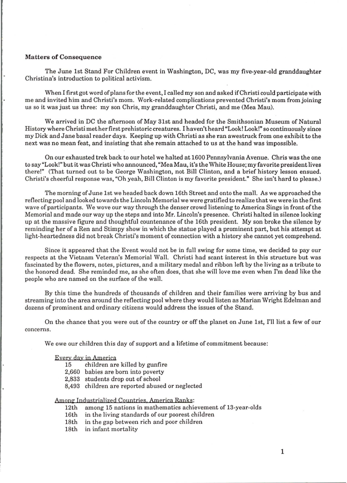#### **Matters of Consequence**

The June 1st Stand For Children event in Washington, DC, was my five-year-old granddaughter Christina's introduction to political activism.

When I first got word of plans for the event, I called my son and asked if Christi could participate with me and invited him and Christi's mom. Work-related complications prevented Christi's mom from joining us so it was just us three: my son Chris, my granddaughter Christi, and me (Mea Mau).

We arrived in DC the afternoon of May 31st and headed for the Smithsonian Museum of Natural History where Christi met her first prehistoric creatures. I haven't heard "Look! Look!" so continuously since my Dick and Jane basal reader days. Keeping up with Christi as she ran awestruck from one exhibit to the next was no mean feat, and insisting that she remain attached to us at the hand was impossible.

On our exhausted trek back to our hotel we halted at 1600 Pennsylvania Avenue. Chris was the one to say "Look!" but it was Christi who announced, "Mea Mau, it's the White House; my favorite president lives there!" (That turned out to be George Washington, not Bill Clinton, and a brief history lesson ensued. Christi's cheerful response was, "Oh yeah, Bill Clinton is my favorite president." She isn't hard to please.)

The morning of June 1st we headed back down 16th Street and onto the mall. As we approached the reflecting pool and looked towards the Lincoln Memorial we were gratified to realize that we were in the first wave of participants. We wove our way through the denser crowd listening to America Sings in front of the Memorial and made our way up the steps and into Mr. Lincoln's presence. Christi halted in silence looking up at the massive figure and thoughtful countenance of the 16th president. My son broke the silence by reminding her of a Ren and Stimpy show in which the statue played a prominent part, but his attempt at light-heartedness did not break Christi's moment of connection with a history she cannot yet comprehend.

Since it appeared that the Event would not be in full swing for some time, we decided to pay our respects at the Vietnam Veteran's Memorial Wall. Christi had scant interest in this structure but was fascinated by the flowers, notes, pictures, and a military medal and ribbon left by the living as a tribute to the honored dead. She reminded me, as she often does, that she will love me even when I'm dead like the people who are named on the surface of the wall.

By this time the hundreds of thousands of children and their families were arriving by bus and streaming into the area around the reflecting pool where they would listen as Marian Wright Edelman and dozens of prominent and ordinary citizens would address the issues of the Stand.

On the chance that you were out of the country or off the planet on June 1st, I'll list a few of our concerns.

We owe our children this day of support and a lifetime of commitment because:

### Every day in America

- children are killed by gunfire
- 2,660 babies are born into poverty
- 2,833 students drop out of school
- 8,493 children are reported abused or neglected

## Among Industrialized Countries, America Ranks:<br>12th among 15 nations in mathematics achie

- among 15 nations in mathematics achievement of 13-year-olds
- 16th in the living standards of our poorest children
- 18th in the gap between rich and poor children
- 18th in infant mortality